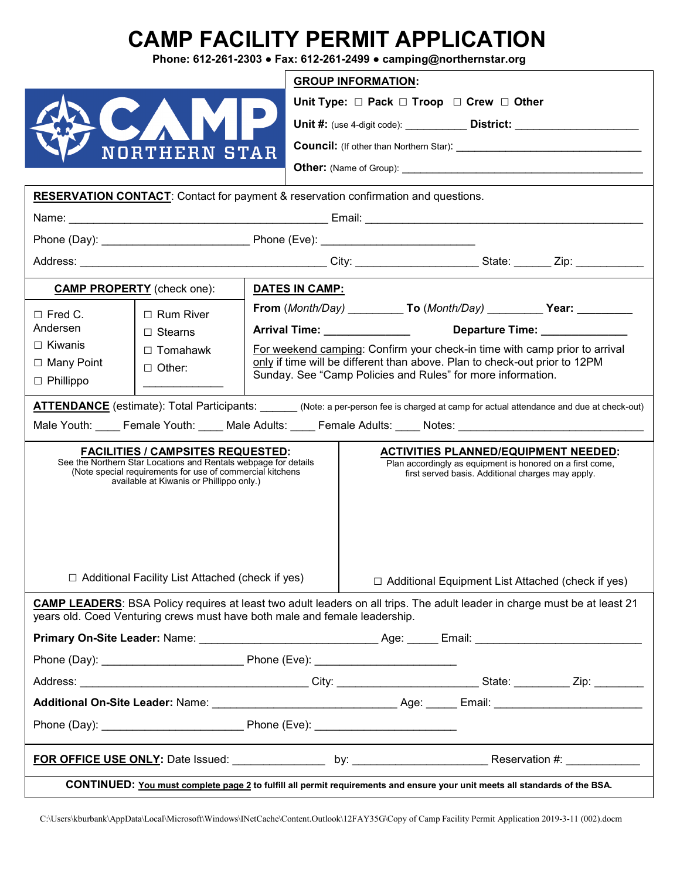## **CAMP FACILITY PERMIT APPLICATION**

**Phone: 612-261-2303 ● Fax: 612-261-2499 ● camping@northernstar.org**

|                                                                                                                                                                                                                |                                                                                                                                                                                                                      |                                                                                                                                           | <b>GROUP INFORMATION:</b>                                                                                                                                     |  |  |  |  |
|----------------------------------------------------------------------------------------------------------------------------------------------------------------------------------------------------------------|----------------------------------------------------------------------------------------------------------------------------------------------------------------------------------------------------------------------|-------------------------------------------------------------------------------------------------------------------------------------------|---------------------------------------------------------------------------------------------------------------------------------------------------------------|--|--|--|--|
|                                                                                                                                                                                                                |                                                                                                                                                                                                                      |                                                                                                                                           | Unit Type: $\Box$ Pack $\Box$ Troop $\Box$ Crew $\Box$ Other                                                                                                  |  |  |  |  |
|                                                                                                                                                                                                                |                                                                                                                                                                                                                      |                                                                                                                                           | Unit #: (use 4-digit code): _______________ District: __________________________                                                                              |  |  |  |  |
|                                                                                                                                                                                                                | <b>NORTHERN STAR</b>                                                                                                                                                                                                 |                                                                                                                                           |                                                                                                                                                               |  |  |  |  |
|                                                                                                                                                                                                                |                                                                                                                                                                                                                      |                                                                                                                                           |                                                                                                                                                               |  |  |  |  |
| <b>RESERVATION CONTACT:</b> Contact for payment & reservation confirmation and questions.                                                                                                                      |                                                                                                                                                                                                                      |                                                                                                                                           |                                                                                                                                                               |  |  |  |  |
|                                                                                                                                                                                                                |                                                                                                                                                                                                                      |                                                                                                                                           |                                                                                                                                                               |  |  |  |  |
|                                                                                                                                                                                                                |                                                                                                                                                                                                                      |                                                                                                                                           |                                                                                                                                                               |  |  |  |  |
|                                                                                                                                                                                                                |                                                                                                                                                                                                                      |                                                                                                                                           |                                                                                                                                                               |  |  |  |  |
|                                                                                                                                                                                                                |                                                                                                                                                                                                                      |                                                                                                                                           |                                                                                                                                                               |  |  |  |  |
| <b>CAMP PROPERTY</b> (check one):                                                                                                                                                                              |                                                                                                                                                                                                                      | <b>DATES IN CAMP:</b>                                                                                                                     |                                                                                                                                                               |  |  |  |  |
| $\Box$ Fred C.                                                                                                                                                                                                 | $\Box$ Rum River                                                                                                                                                                                                     | From (Month/Day) ____________ To (Month/Day) ____________ Year: ___________                                                               |                                                                                                                                                               |  |  |  |  |
| Andersen                                                                                                                                                                                                       | $\Box$ Stearns                                                                                                                                                                                                       | Departure Time: Network of the Separature<br>Arrival Time: _______________                                                                |                                                                                                                                                               |  |  |  |  |
| $\Box$ Kiwanis                                                                                                                                                                                                 | $\Box$ Tomahawk                                                                                                                                                                                                      | For weekend camping: Confirm your check-in time with camp prior to arrival                                                                |                                                                                                                                                               |  |  |  |  |
| $\Box$ Many Point                                                                                                                                                                                              | $\Box$ Other:                                                                                                                                                                                                        | only if time will be different than above. Plan to check-out prior to 12PM<br>Sunday. See "Camp Policies and Rules" for more information. |                                                                                                                                                               |  |  |  |  |
| $\Box$ Phillippo                                                                                                                                                                                               |                                                                                                                                                                                                                      |                                                                                                                                           |                                                                                                                                                               |  |  |  |  |
| <b>ATTENDANCE</b> (estimate): Total Participants: (Note: a per-person fee is charged at camp for actual attendance and due at check-out)                                                                       |                                                                                                                                                                                                                      |                                                                                                                                           |                                                                                                                                                               |  |  |  |  |
| Male Youth: Female Youth: Male Adults: Female Adults: Notes: Notes: Notes: Network: Network: Network: Network                                                                                                  |                                                                                                                                                                                                                      |                                                                                                                                           |                                                                                                                                                               |  |  |  |  |
|                                                                                                                                                                                                                | <b>FACILITIES / CAMPSITES REQUESTED:</b><br>See the Northern Star Locations and Rentals webpage for details<br>(Note special requirements for use of commercial kitchens<br>available at Kiwanis or Phillippo only.) |                                                                                                                                           | <b>ACTIVITIES PLANNED/EQUIPMENT NEEDED:</b><br>Plan accordingly as equipment is honored on a first come,<br>first served basis. Additional charges may apply. |  |  |  |  |
| $\Box$ Additional Facility List Attached (check if yes)                                                                                                                                                        |                                                                                                                                                                                                                      |                                                                                                                                           | $\Box$ Additional Equipment List Attached (check if yes)                                                                                                      |  |  |  |  |
| <b>CAMP LEADERS:</b> BSA Policy requires at least two adult leaders on all trips. The adult leader in charge must be at least 21<br>vears old. Coed Venturing crews must have both male and female leadership. |                                                                                                                                                                                                                      |                                                                                                                                           |                                                                                                                                                               |  |  |  |  |
|                                                                                                                                                                                                                |                                                                                                                                                                                                                      |                                                                                                                                           |                                                                                                                                                               |  |  |  |  |
|                                                                                                                                                                                                                |                                                                                                                                                                                                                      |                                                                                                                                           |                                                                                                                                                               |  |  |  |  |
|                                                                                                                                                                                                                |                                                                                                                                                                                                                      |                                                                                                                                           |                                                                                                                                                               |  |  |  |  |
|                                                                                                                                                                                                                |                                                                                                                                                                                                                      |                                                                                                                                           |                                                                                                                                                               |  |  |  |  |
|                                                                                                                                                                                                                |                                                                                                                                                                                                                      |                                                                                                                                           |                                                                                                                                                               |  |  |  |  |
|                                                                                                                                                                                                                |                                                                                                                                                                                                                      |                                                                                                                                           |                                                                                                                                                               |  |  |  |  |
| CONTINUED: You must complete page 2 to fulfill all permit requirements and ensure your unit meets all standards of the BSA.                                                                                    |                                                                                                                                                                                                                      |                                                                                                                                           |                                                                                                                                                               |  |  |  |  |

C:\Users\kburbank\AppData\Local\Microsoft\Windows\INetCache\Content.Outlook\12FAY35G\Copy of Camp Facility Permit Application 2019-3-11 (002).docm